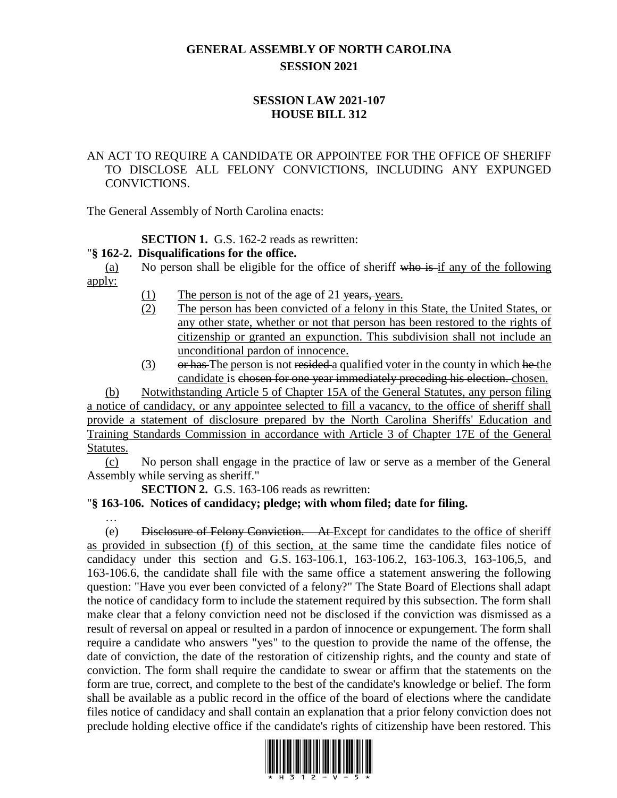# **GENERAL ASSEMBLY OF NORTH CAROLINA SESSION 2021**

# **SESSION LAW 2021-107 HOUSE BILL 312**

### AN ACT TO REQUIRE A CANDIDATE OR APPOINTEE FOR THE OFFICE OF SHERIFF TO DISCLOSE ALL FELONY CONVICTIONS, INCLUDING ANY EXPUNGED CONVICTIONS.

The General Assembly of North Carolina enacts:

# **SECTION 1.** G.S. 162-2 reads as rewritten:

# "**§ 162-2. Disqualifications for the office.**

(a) No person shall be eligible for the office of sheriff who is if any of the following apply:

- (1) The person is not of the age of 21 years, years.
- (2) The person has been convicted of a felony in this State, the United States, or any other state, whether or not that person has been restored to the rights of citizenship or granted an expunction. This subdivision shall not include an unconditional pardon of innocence.
- (3) or has The person is not resided a qualified voter in the county in which he the candidate is chosen for one year immediately preceding his election. chosen.

(b) Notwithstanding Article 5 of Chapter 15A of the General Statutes, any person filing a notice of candidacy, or any appointee selected to fill a vacancy, to the office of sheriff shall provide a statement of disclosure prepared by the North Carolina Sheriffs' Education and Training Standards Commission in accordance with Article 3 of Chapter 17E of the General Statutes.

(c) No person shall engage in the practice of law or serve as a member of the General Assembly while serving as sheriff."

**SECTION 2.** G.S. 163-106 reads as rewritten:

# "**§ 163-106. Notices of candidacy; pledge; with whom filed; date for filing.**

…

(e) Disclosure of Felony Conviction. – At Except for candidates to the office of sheriff as provided in subsection (f) of this section, at the same time the candidate files notice of candidacy under this section and G.S. 163-106.1, 163-106.2, 163-106.3, 163-106,5, and 163-106.6, the candidate shall file with the same office a statement answering the following question: "Have you ever been convicted of a felony?" The State Board of Elections shall adapt the notice of candidacy form to include the statement required by this subsection. The form shall make clear that a felony conviction need not be disclosed if the conviction was dismissed as a result of reversal on appeal or resulted in a pardon of innocence or expungement. The form shall require a candidate who answers "yes" to the question to provide the name of the offense, the date of conviction, the date of the restoration of citizenship rights, and the county and state of conviction. The form shall require the candidate to swear or affirm that the statements on the form are true, correct, and complete to the best of the candidate's knowledge or belief. The form shall be available as a public record in the office of the board of elections where the candidate files notice of candidacy and shall contain an explanation that a prior felony conviction does not preclude holding elective office if the candidate's rights of citizenship have been restored. This

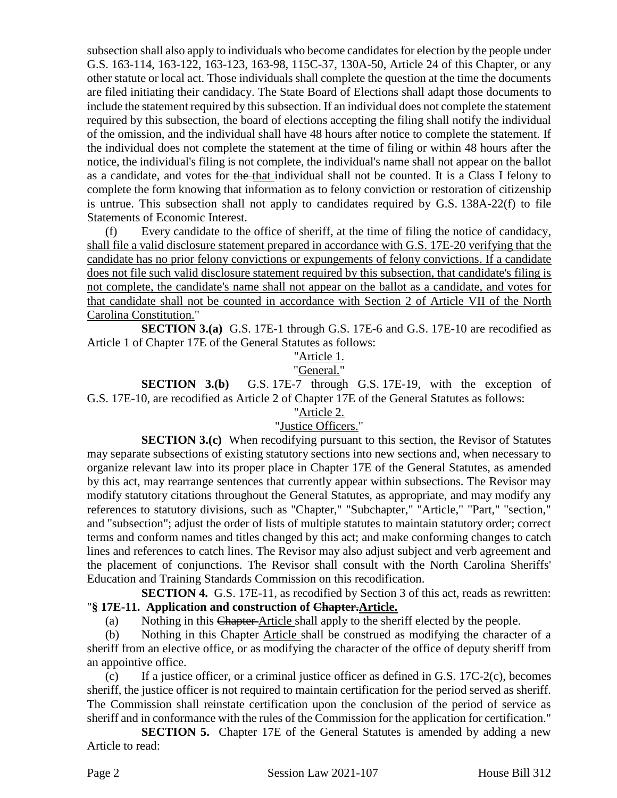subsection shall also apply to individuals who become candidates for election by the people under G.S. 163-114, 163-122, 163-123, 163-98, 115C-37, 130A-50, Article 24 of this Chapter, or any other statute or local act. Those individuals shall complete the question at the time the documents are filed initiating their candidacy. The State Board of Elections shall adapt those documents to include the statement required by this subsection. If an individual does not complete the statement required by this subsection, the board of elections accepting the filing shall notify the individual of the omission, and the individual shall have 48 hours after notice to complete the statement. If the individual does not complete the statement at the time of filing or within 48 hours after the notice, the individual's filing is not complete, the individual's name shall not appear on the ballot as a candidate, and votes for the that individual shall not be counted. It is a Class I felony to complete the form knowing that information as to felony conviction or restoration of citizenship is untrue. This subsection shall not apply to candidates required by G.S. 138A-22(f) to file Statements of Economic Interest.

(f) Every candidate to the office of sheriff, at the time of filing the notice of candidacy, shall file a valid disclosure statement prepared in accordance with G.S. 17E-20 verifying that the candidate has no prior felony convictions or expungements of felony convictions. If a candidate does not file such valid disclosure statement required by this subsection, that candidate's filing is not complete, the candidate's name shall not appear on the ballot as a candidate, and votes for that candidate shall not be counted in accordance with Section 2 of Article VII of the North Carolina Constitution."

**SECTION 3.(a)** G.S. 17E-1 through G.S. 17E-6 and G.S. 17E-10 are recodified as Article 1 of Chapter 17E of the General Statutes as follows:

# "Article 1.

### "General."

**SECTION 3.(b)** G.S. 17E-7 through G.S. 17E-19, with the exception of G.S. 17E-10, are recodified as Article 2 of Chapter 17E of the General Statutes as follows:

#### "Article 2.

#### "Justice Officers."

**SECTION 3.(c)** When recodifying pursuant to this section, the Revisor of Statutes may separate subsections of existing statutory sections into new sections and, when necessary to organize relevant law into its proper place in Chapter 17E of the General Statutes, as amended by this act, may rearrange sentences that currently appear within subsections. The Revisor may modify statutory citations throughout the General Statutes, as appropriate, and may modify any references to statutory divisions, such as "Chapter," "Subchapter," "Article," "Part," "section," and "subsection"; adjust the order of lists of multiple statutes to maintain statutory order; correct terms and conform names and titles changed by this act; and make conforming changes to catch lines and references to catch lines. The Revisor may also adjust subject and verb agreement and the placement of conjunctions. The Revisor shall consult with the North Carolina Sheriffs' Education and Training Standards Commission on this recodification.

**SECTION 4.** G.S. 17E-11, as recodified by Section 3 of this act, reads as rewritten: "**§ 17E-11. Application and construction of Chapter.Article.**

(a) Nothing in this Chapter Article shall apply to the sheriff elected by the people.

(b) Nothing in this Chapter Article shall be construed as modifying the character of a sheriff from an elective office, or as modifying the character of the office of deputy sheriff from an appointive office.

(c) If a justice officer, or a criminal justice officer as defined in G.S.  $17C-2(c)$ , becomes sheriff, the justice officer is not required to maintain certification for the period served as sheriff. The Commission shall reinstate certification upon the conclusion of the period of service as sheriff and in conformance with the rules of the Commission for the application for certification."

**SECTION 5.** Chapter 17E of the General Statutes is amended by adding a new Article to read:

Page 2 Session Law 2021-107 House Bill 312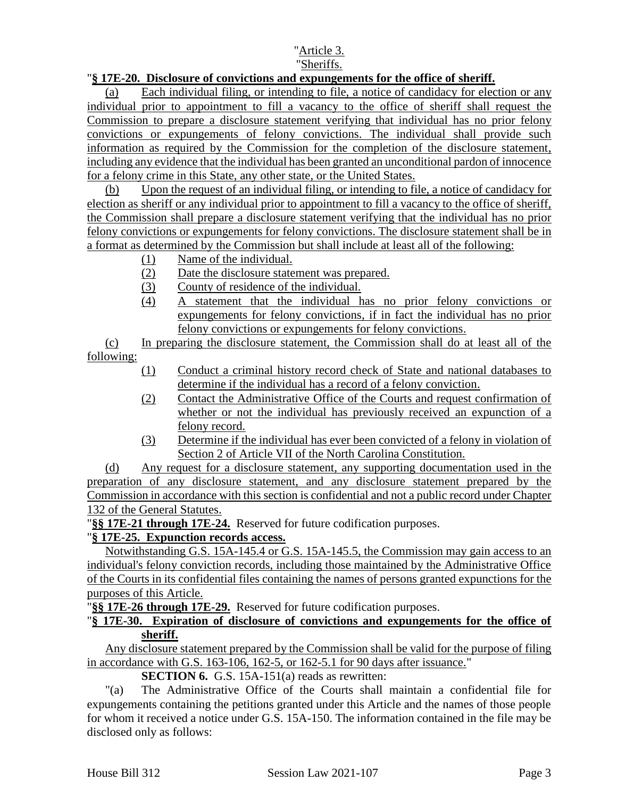# "Sheriffs.

# "**§ 17E-20. Disclosure of convictions and expungements for the office of sheriff.**

(a) Each individual filing, or intending to file, a notice of candidacy for election or any individual prior to appointment to fill a vacancy to the office of sheriff shall request the Commission to prepare a disclosure statement verifying that individual has no prior felony convictions or expungements of felony convictions. The individual shall provide such information as required by the Commission for the completion of the disclosure statement, including any evidence that the individual has been granted an unconditional pardon of innocence for a felony crime in this State, any other state, or the United States.

(b) Upon the request of an individual filing, or intending to file, a notice of candidacy for election as sheriff or any individual prior to appointment to fill a vacancy to the office of sheriff, the Commission shall prepare a disclosure statement verifying that the individual has no prior felony convictions or expungements for felony convictions. The disclosure statement shall be in a format as determined by the Commission but shall include at least all of the following:

- (1) Name of the individual.
- (2) Date the disclosure statement was prepared.
- (3) County of residence of the individual.
- (4) A statement that the individual has no prior felony convictions or expungements for felony convictions, if in fact the individual has no prior felony convictions or expungements for felony convictions.

(c) In preparing the disclosure statement, the Commission shall do at least all of the following:

- (1) Conduct a criminal history record check of State and national databases to determine if the individual has a record of a felony conviction.
- (2) Contact the Administrative Office of the Courts and request confirmation of whether or not the individual has previously received an expunction of a felony record.
- (3) Determine if the individual has ever been convicted of a felony in violation of Section 2 of Article VII of the North Carolina Constitution.

(d) Any request for a disclosure statement, any supporting documentation used in the preparation of any disclosure statement, and any disclosure statement prepared by the Commission in accordance with this section is confidential and not a public record under Chapter 132 of the General Statutes.

"**§§ 17E-21 through 17E-24.** Reserved for future codification purposes.

# "**§ 17E-25. Expunction records access.**

Notwithstanding G.S. 15A-145.4 or G.S. 15A-145.5, the Commission may gain access to an individual's felony conviction records, including those maintained by the Administrative Office of the Courts in its confidential files containing the names of persons granted expunctions for the purposes of this Article.

"**§§ 17E-26 through 17E-29.** Reserved for future codification purposes.

### "**§ 17E-30. Expiration of disclosure of convictions and expungements for the office of sheriff.**

Any disclosure statement prepared by the Commission shall be valid for the purpose of filing in accordance with G.S. 163-106, 162-5, or 162-5.1 for 90 days after issuance."

# **SECTION 6.** G.S. 15A-151(a) reads as rewritten:

"(a) The Administrative Office of the Courts shall maintain a confidential file for expungements containing the petitions granted under this Article and the names of those people for whom it received a notice under G.S. 15A-150. The information contained in the file may be disclosed only as follows: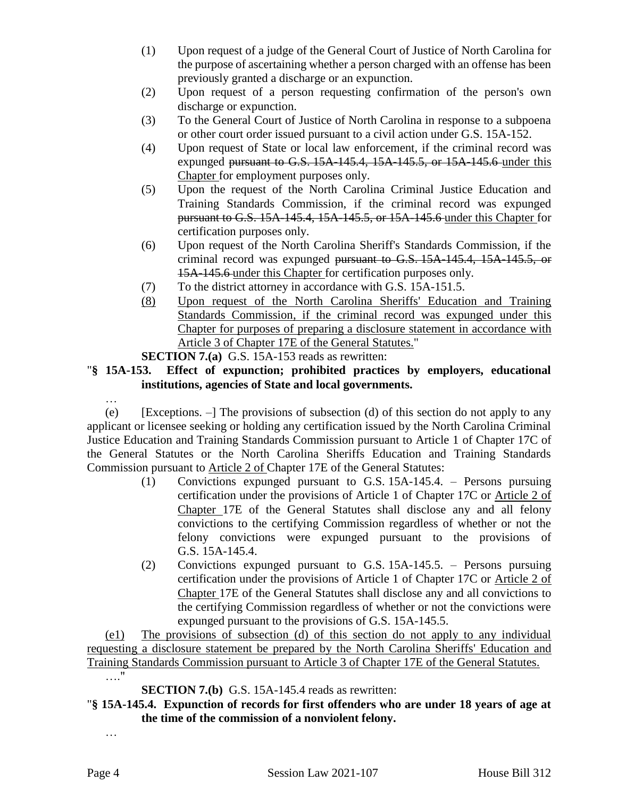- (1) Upon request of a judge of the General Court of Justice of North Carolina for the purpose of ascertaining whether a person charged with an offense has been previously granted a discharge or an expunction.
- (2) Upon request of a person requesting confirmation of the person's own discharge or expunction.
- (3) To the General Court of Justice of North Carolina in response to a subpoena or other court order issued pursuant to a civil action under G.S. 15A-152.
- (4) Upon request of State or local law enforcement, if the criminal record was expunged pursuant to G.S. 15A-145.4, 15A-145.5, or 15A-145.6 under this Chapter for employment purposes only.
- (5) Upon the request of the North Carolina Criminal Justice Education and Training Standards Commission, if the criminal record was expunged pursuant to G.S. 15A-145.4, 15A-145.5, or 15A-145.6 under this Chapter for certification purposes only.
- (6) Upon request of the North Carolina Sheriff's Standards Commission, if the criminal record was expunged pursuant to G.S. 15A-145.4, 15A-145.5, or 15A-145.6 under this Chapter for certification purposes only.
- (7) To the district attorney in accordance with G.S. 15A-151.5.
- (8) Upon request of the North Carolina Sheriffs' Education and Training Standards Commission, if the criminal record was expunged under this Chapter for purposes of preparing a disclosure statement in accordance with Article 3 of Chapter 17E of the General Statutes."

**SECTION 7.(a)** G.S. 15A-153 reads as rewritten:

# "**§ 15A-153. Effect of expunction; prohibited practices by employers, educational institutions, agencies of State and local governments.**

…

(e) [Exceptions. –] The provisions of subsection (d) of this section do not apply to any applicant or licensee seeking or holding any certification issued by the North Carolina Criminal Justice Education and Training Standards Commission pursuant to Article 1 of Chapter 17C of the General Statutes or the North Carolina Sheriffs Education and Training Standards Commission pursuant to Article 2 of Chapter 17E of the General Statutes:

- (1) Convictions expunged pursuant to G.S. 15A-145.4. Persons pursuing certification under the provisions of Article 1 of Chapter 17C or Article 2 of Chapter 17E of the General Statutes shall disclose any and all felony convictions to the certifying Commission regardless of whether or not the felony convictions were expunged pursuant to the provisions of G.S. 15A-145.4.
- (2) Convictions expunged pursuant to G.S. 15A-145.5. Persons pursuing certification under the provisions of Article 1 of Chapter 17C or Article 2 of Chapter 17E of the General Statutes shall disclose any and all convictions to the certifying Commission regardless of whether or not the convictions were expunged pursuant to the provisions of G.S. 15A-145.5.

(e1) The provisions of subsection (d) of this section do not apply to any individual requesting a disclosure statement be prepared by the North Carolina Sheriffs' Education and Training Standards Commission pursuant to Article 3 of Chapter 17E of the General Statutes. …."

**SECTION 7.(b)** G.S. 15A-145.4 reads as rewritten:

# "**§ 15A-145.4. Expunction of records for first offenders who are under 18 years of age at the time of the commission of a nonviolent felony.**

…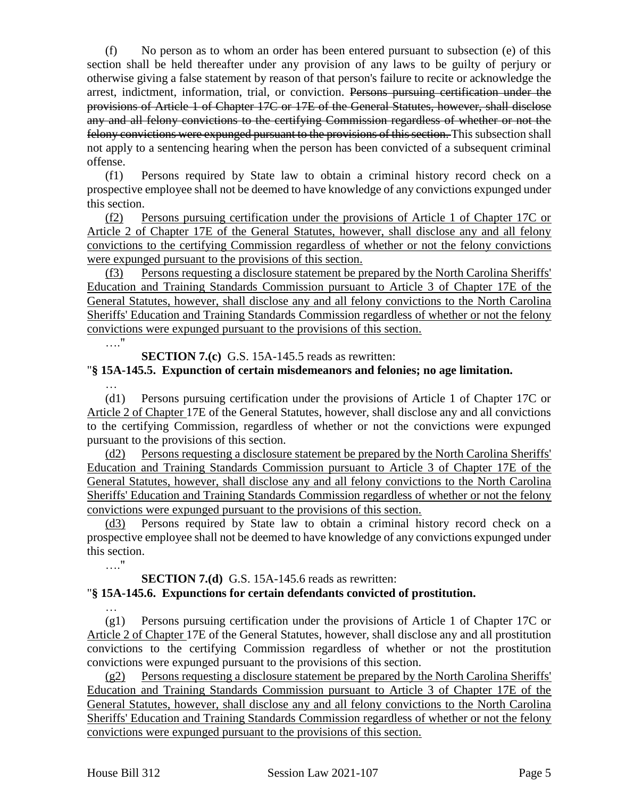(f) No person as to whom an order has been entered pursuant to subsection (e) of this section shall be held thereafter under any provision of any laws to be guilty of perjury or otherwise giving a false statement by reason of that person's failure to recite or acknowledge the arrest, indictment, information, trial, or conviction. Persons pursuing certification under the provisions of Article 1 of Chapter 17C or 17E of the General Statutes, however, shall disclose any and all felony convictions to the certifying Commission regardless of whether or not the felony convictions were expunged pursuant to the provisions of this section. This subsection shall not apply to a sentencing hearing when the person has been convicted of a subsequent criminal offense.

(f1) Persons required by State law to obtain a criminal history record check on a prospective employee shall not be deemed to have knowledge of any convictions expunged under this section.

(f2) Persons pursuing certification under the provisions of Article 1 of Chapter 17C or Article 2 of Chapter 17E of the General Statutes, however, shall disclose any and all felony convictions to the certifying Commission regardless of whether or not the felony convictions were expunged pursuant to the provisions of this section.

(f3) Persons requesting a disclosure statement be prepared by the North Carolina Sheriffs' Education and Training Standards Commission pursuant to Article 3 of Chapter 17E of the General Statutes, however, shall disclose any and all felony convictions to the North Carolina Sheriffs' Education and Training Standards Commission regardless of whether or not the felony convictions were expunged pursuant to the provisions of this section.

…."

**SECTION 7.(c)** G.S. 15A-145.5 reads as rewritten:

#### "**§ 15A-145.5. Expunction of certain misdemeanors and felonies; no age limitation.**

…

(d1) Persons pursuing certification under the provisions of Article 1 of Chapter 17C or Article 2 of Chapter 17E of the General Statutes, however, shall disclose any and all convictions to the certifying Commission, regardless of whether or not the convictions were expunged pursuant to the provisions of this section.

(d2) Persons requesting a disclosure statement be prepared by the North Carolina Sheriffs' Education and Training Standards Commission pursuant to Article 3 of Chapter 17E of the General Statutes, however, shall disclose any and all felony convictions to the North Carolina Sheriffs' Education and Training Standards Commission regardless of whether or not the felony convictions were expunged pursuant to the provisions of this section.

(d3) Persons required by State law to obtain a criminal history record check on a prospective employee shall not be deemed to have knowledge of any convictions expunged under this section.

…."

…

#### **SECTION 7.(d)** G.S. 15A-145.6 reads as rewritten:

#### "**§ 15A-145.6. Expunctions for certain defendants convicted of prostitution.**

(g1) Persons pursuing certification under the provisions of Article 1 of Chapter 17C or Article 2 of Chapter 17E of the General Statutes, however, shall disclose any and all prostitution convictions to the certifying Commission regardless of whether or not the prostitution convictions were expunged pursuant to the provisions of this section.

(g2) Persons requesting a disclosure statement be prepared by the North Carolina Sheriffs' Education and Training Standards Commission pursuant to Article 3 of Chapter 17E of the General Statutes, however, shall disclose any and all felony convictions to the North Carolina Sheriffs' Education and Training Standards Commission regardless of whether or not the felony convictions were expunged pursuant to the provisions of this section.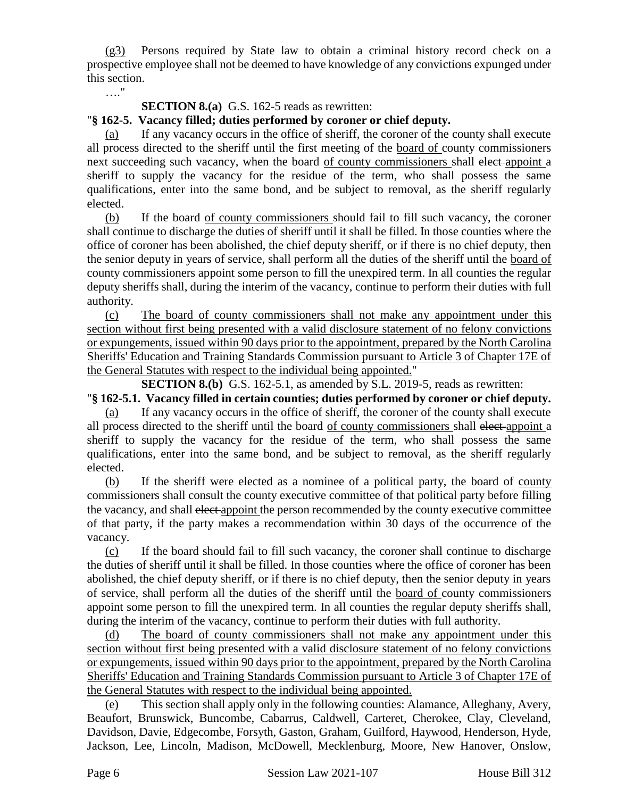(g3) Persons required by State law to obtain a criminal history record check on a prospective employee shall not be deemed to have knowledge of any convictions expunged under this section.

…."

#### **SECTION 8.(a)** G.S. 162-5 reads as rewritten:

### "**§ 162-5. Vacancy filled; duties performed by coroner or chief deputy.**

(a) If any vacancy occurs in the office of sheriff, the coroner of the county shall execute all process directed to the sheriff until the first meeting of the board of county commissioners next succeeding such vacancy, when the board of county commissioners shall elect-appoint a sheriff to supply the vacancy for the residue of the term, who shall possess the same qualifications, enter into the same bond, and be subject to removal, as the sheriff regularly elected.

(b) If the board of county commissioners should fail to fill such vacancy, the coroner shall continue to discharge the duties of sheriff until it shall be filled. In those counties where the office of coroner has been abolished, the chief deputy sheriff, or if there is no chief deputy, then the senior deputy in years of service, shall perform all the duties of the sheriff until the board of county commissioners appoint some person to fill the unexpired term. In all counties the regular deputy sheriffs shall, during the interim of the vacancy, continue to perform their duties with full authority.

(c) The board of county commissioners shall not make any appointment under this section without first being presented with a valid disclosure statement of no felony convictions or expungements, issued within 90 days prior to the appointment, prepared by the North Carolina Sheriffs' Education and Training Standards Commission pursuant to Article 3 of Chapter 17E of the General Statutes with respect to the individual being appointed."

**SECTION 8.(b)** G.S. 162-5.1, as amended by S.L. 2019-5, reads as rewritten:

"**§ 162-5.1. Vacancy filled in certain counties; duties performed by coroner or chief deputy.** (a) If any vacancy occurs in the office of sheriff, the coroner of the county shall execute all process directed to the sheriff until the board of county commissioners shall elect appoint a sheriff to supply the vacancy for the residue of the term, who shall possess the same qualifications, enter into the same bond, and be subject to removal, as the sheriff regularly elected.

(b) If the sheriff were elected as a nominee of a political party, the board of county commissioners shall consult the county executive committee of that political party before filling the vacancy, and shall elect appoint the person recommended by the county executive committee of that party, if the party makes a recommendation within 30 days of the occurrence of the vacancy.

(c) If the board should fail to fill such vacancy, the coroner shall continue to discharge the duties of sheriff until it shall be filled. In those counties where the office of coroner has been abolished, the chief deputy sheriff, or if there is no chief deputy, then the senior deputy in years of service, shall perform all the duties of the sheriff until the board of county commissioners appoint some person to fill the unexpired term. In all counties the regular deputy sheriffs shall, during the interim of the vacancy, continue to perform their duties with full authority.

(d) The board of county commissioners shall not make any appointment under this section without first being presented with a valid disclosure statement of no felony convictions or expungements, issued within 90 days prior to the appointment, prepared by the North Carolina Sheriffs' Education and Training Standards Commission pursuant to Article 3 of Chapter 17E of the General Statutes with respect to the individual being appointed.

(e) This section shall apply only in the following counties: Alamance, Alleghany, Avery, Beaufort, Brunswick, Buncombe, Cabarrus, Caldwell, Carteret, Cherokee, Clay, Cleveland, Davidson, Davie, Edgecombe, Forsyth, Gaston, Graham, Guilford, Haywood, Henderson, Hyde, Jackson, Lee, Lincoln, Madison, McDowell, Mecklenburg, Moore, New Hanover, Onslow,